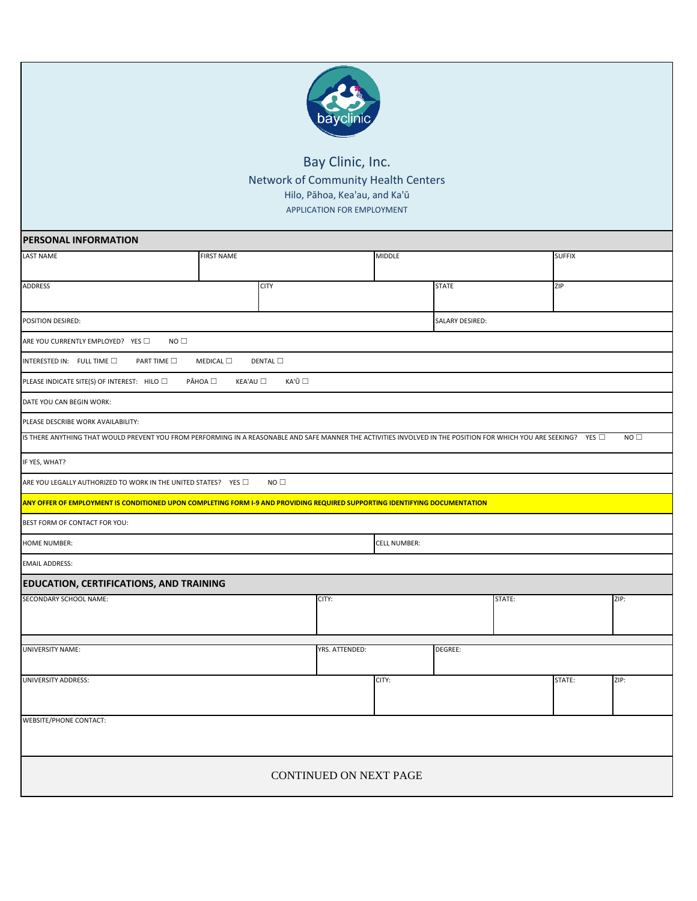

## Bay Clinic, Inc. Network of Community Health Centers Hilo, Pāhoa, Kea'au, and Ka'ū APPLICATION FOR EMPLOYMENT

| PERSONAL INFORMATION                                                                                                                                            |                          |                |        |              |        |               |      |
|-----------------------------------------------------------------------------------------------------------------------------------------------------------------|--------------------------|----------------|--------|--------------|--------|---------------|------|
| <b>LAST NAME</b>                                                                                                                                                | <b>FIRST NAME</b>        |                | MIDDLE |              |        | <b>SUFFIX</b> |      |
| ADDRESS                                                                                                                                                         | <b>CITY</b>              |                |        | <b>STATE</b> |        | ZIP           |      |
|                                                                                                                                                                 |                          |                |        |              |        |               |      |
| POSITION DESIRED:<br>SALARY DESIRED:                                                                                                                            |                          |                |        |              |        |               |      |
| ARE YOU CURRENTLY EMPLOYED? YES<br>NO                                                                                                                           |                          |                |        |              |        |               |      |
| INTERESTED IN: FULL TIME<br>PART TIME $\square$                                                                                                                 | DENTAL $\Box$<br>MEDICAL |                |        |              |        |               |      |
| PLEASE INDICATE SITE(S) OF INTEREST: HILO                                                                                                                       | PĀHOA □<br>KEA'AU        | KA'Ū □         |        |              |        |               |      |
| DATE YOU CAN BEGIN WORK:                                                                                                                                        |                          |                |        |              |        |               |      |
| PLEASE DESCRIBE WORK AVAILABILITY:                                                                                                                              |                          |                |        |              |        |               |      |
| IS THERE ANYTHING THAT WOULD PREVENT YOU FROM PERFORMING IN A REASONABLE AND SAFE MANNER THE ACTIVITIES INVOLVED IN THE POSITION FOR WHICH YOU ARE SEEKING? YES |                          |                |        |              |        |               | NO   |
| IF YES, WHAT?                                                                                                                                                   |                          |                |        |              |        |               |      |
| ARE YOU LEGALLY AUTHORIZED TO WORK IN THE UNITED STATES? YES                                                                                                    | NO <sub>1</sub>          |                |        |              |        |               |      |
| ANY OFFER OF EMPLOYMENT IS CONDITIONED UPON COMPLETING FORM I-9 AND PROVIDING REQUIRED SUPPORTING IDENTIFYING DOCUMENTATION                                     |                          |                |        |              |        |               |      |
| BEST FORM OF CONTACT FOR YOU:                                                                                                                                   |                          |                |        |              |        |               |      |
| <b>HOME NUMBER:</b><br><b>CELL NUMBER:</b>                                                                                                                      |                          |                |        |              |        |               |      |
| <b>EMAIL ADDRESS:</b>                                                                                                                                           |                          |                |        |              |        |               |      |
| <b>EDUCATION, CERTIFICATIONS, AND TRAINING</b>                                                                                                                  |                          |                |        |              |        |               |      |
| SECONDARY SCHOOL NAME:                                                                                                                                          |                          | CITY:          |        |              | STATE: |               | ZIP: |
| <b>UNIVERSITY NAME:</b>                                                                                                                                         |                          | YRS. ATTENDED: |        | DEGREE:      |        |               |      |
| UNIVERSITY ADDRESS:                                                                                                                                             |                          |                | CITY:  |              |        | STATE:        | ZIP: |
| <b>WEBSITE/PHONE CONTACT:</b>                                                                                                                                   |                          |                |        |              |        |               |      |
| CONTINUED ON NEXT PAGE                                                                                                                                          |                          |                |        |              |        |               |      |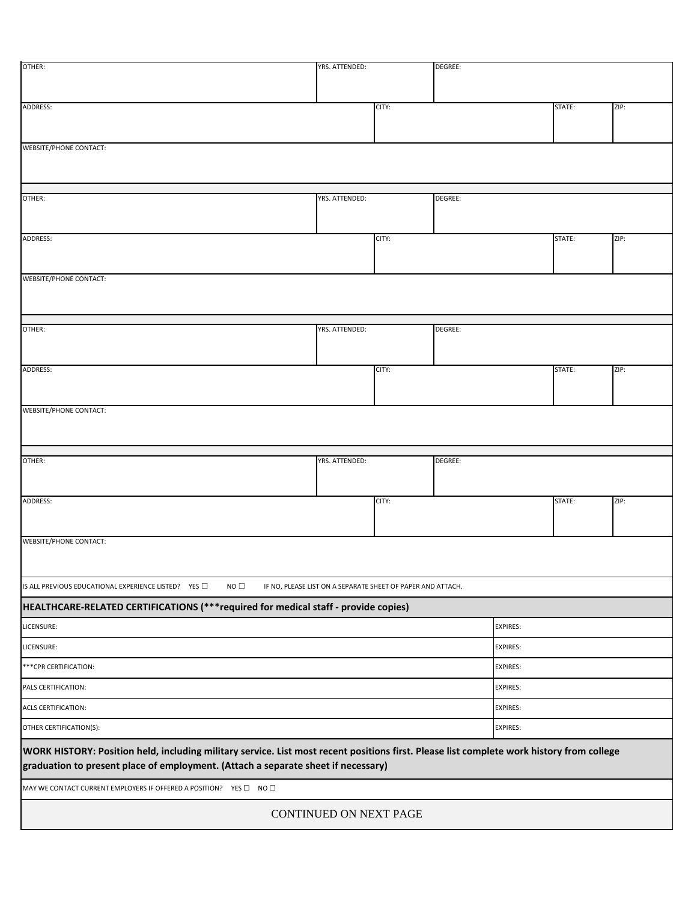| OTHER:                                                                                                                                    | YRS. ATTENDED:<br>DEGREE: |                                                             |                 |                 |        |      |  |
|-------------------------------------------------------------------------------------------------------------------------------------------|---------------------------|-------------------------------------------------------------|-----------------|-----------------|--------|------|--|
|                                                                                                                                           |                           |                                                             |                 |                 |        |      |  |
| ADDRESS:                                                                                                                                  |                           | CITY:                                                       |                 |                 | STATE: | ZIP: |  |
|                                                                                                                                           |                           |                                                             |                 |                 |        |      |  |
| <b>WEBSITE/PHONE CONTACT:</b>                                                                                                             |                           |                                                             |                 |                 |        |      |  |
|                                                                                                                                           |                           |                                                             |                 |                 |        |      |  |
|                                                                                                                                           |                           |                                                             |                 |                 |        |      |  |
| OTHER:                                                                                                                                    | YRS. ATTENDED:            | DEGREE:                                                     |                 |                 |        |      |  |
|                                                                                                                                           |                           |                                                             |                 |                 |        |      |  |
| ADDRESS:                                                                                                                                  |                           | CITY:                                                       |                 |                 | STATE: | ZIP: |  |
|                                                                                                                                           |                           |                                                             |                 |                 |        |      |  |
| <b>WEBSITE/PHONE CONTACT:</b>                                                                                                             |                           |                                                             |                 |                 |        |      |  |
|                                                                                                                                           |                           |                                                             |                 |                 |        |      |  |
|                                                                                                                                           |                           |                                                             |                 |                 |        |      |  |
| OTHER:                                                                                                                                    | YRS. ATTENDED:            |                                                             | DEGREE:         |                 |        |      |  |
|                                                                                                                                           |                           |                                                             |                 |                 |        |      |  |
| ADDRESS:                                                                                                                                  |                           | CITY:                                                       |                 |                 | STATE: | ZIP: |  |
|                                                                                                                                           |                           |                                                             |                 |                 |        |      |  |
| <b>WEBSITE/PHONE CONTACT:</b>                                                                                                             |                           |                                                             |                 |                 |        |      |  |
|                                                                                                                                           |                           |                                                             |                 |                 |        |      |  |
|                                                                                                                                           |                           |                                                             |                 |                 |        |      |  |
| OTHER:                                                                                                                                    | YRS. ATTENDED:            |                                                             | DEGREE:         |                 |        |      |  |
|                                                                                                                                           |                           |                                                             |                 |                 |        |      |  |
| ADDRESS:                                                                                                                                  |                           |                                                             | CITY:           |                 | STATE: | ZIP: |  |
|                                                                                                                                           |                           |                                                             |                 |                 |        |      |  |
| WEBSITE/PHONE CONTACT:                                                                                                                    |                           |                                                             |                 |                 |        |      |  |
|                                                                                                                                           |                           |                                                             |                 |                 |        |      |  |
| NO <sub>1</sub><br>IS ALL PREVIOUS EDUCATIONAL EXPERIENCE LISTED? YES                                                                     |                           | IF NO, PLEASE LIST ON A SEPARATE SHEET OF PAPER AND ATTACH. |                 |                 |        |      |  |
| HEALTHCARE-RELATED CERTIFICATIONS (***required for medical staff - provide copies)                                                        |                           |                                                             |                 |                 |        |      |  |
| LICENSURE:<br><b>EXPIRES:</b>                                                                                                             |                           |                                                             |                 |                 |        |      |  |
| LICENSURE:                                                                                                                                |                           |                                                             |                 | <b>EXPIRES:</b> |        |      |  |
| *** CPR CERTIFICATION:                                                                                                                    |                           |                                                             | <b>EXPIRES:</b> |                 |        |      |  |
| PALS CERTIFICATION:                                                                                                                       |                           |                                                             | <b>EXPIRES:</b> |                 |        |      |  |
| <b>EXPIRES:</b><br>ACLS CERTIFICATION:                                                                                                    |                           |                                                             |                 |                 |        |      |  |
| OTHER CERTIFICATION(S):<br><b>EXPIRES:</b>                                                                                                |                           |                                                             |                 |                 |        |      |  |
| WORK HISTORY: Position held, including military service. List most recent positions first. Please list complete work history from college |                           |                                                             |                 |                 |        |      |  |
| graduation to present place of employment. (Attach a separate sheet if necessary)                                                         |                           |                                                             |                 |                 |        |      |  |
| MAY WE CONTACT CURRENT EMPLOYERS IF OFFERED A POSITION? YES $\square$ NO $\square$                                                        |                           |                                                             |                 |                 |        |      |  |
|                                                                                                                                           | CONTINUED ON NEXT PAGE    |                                                             |                 |                 |        |      |  |
|                                                                                                                                           |                           |                                                             |                 |                 |        |      |  |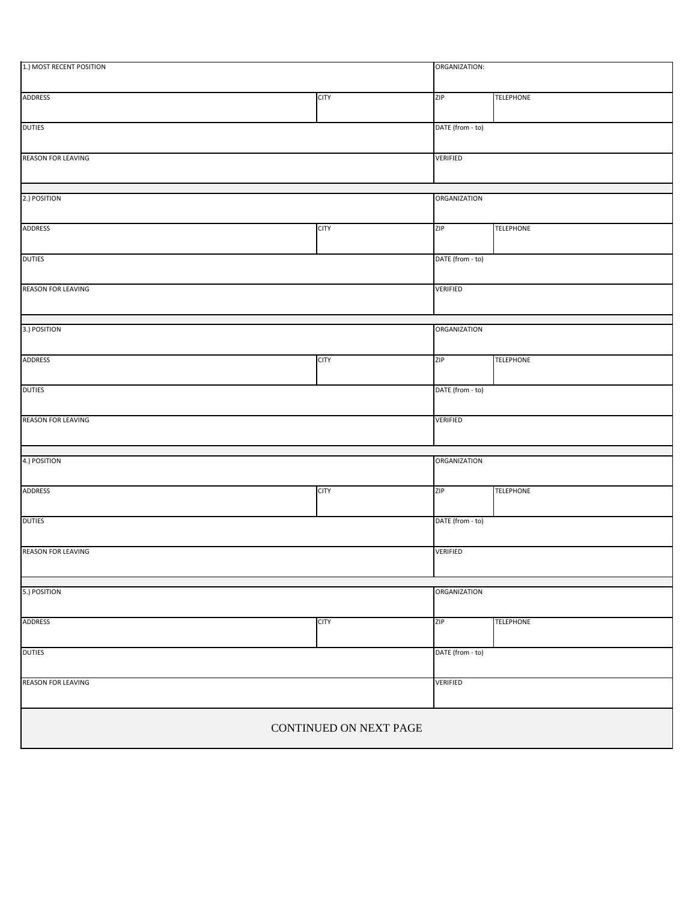| 1.) MOST RECENT POSITION  |             |                     | ORGANIZATION:    |  |  |
|---------------------------|-------------|---------------------|------------------|--|--|
| <b>ADDRESS</b>            | <b>CITY</b> | ZIP                 | <b>TELEPHONE</b> |  |  |
| <b>DUTIES</b>             |             | DATE (from - to)    |                  |  |  |
| <b>REASON FOR LEAVING</b> |             | VERIFIED            |                  |  |  |
| 2.) POSITION              |             | <b>ORGANIZATION</b> |                  |  |  |
| <b>ADDRESS</b>            | <b>CITY</b> | ZIP                 | <b>TELEPHONE</b> |  |  |
| <b>DUTIES</b>             |             |                     | DATE (from - to) |  |  |
| <b>REASON FOR LEAVING</b> |             |                     | <b>VERIFIED</b>  |  |  |
| 3.) POSITION              |             | <b>ORGANIZATION</b> |                  |  |  |
| <b>ADDRESS</b>            | <b>CITY</b> | ZIP                 | <b>TELEPHONE</b> |  |  |
| <b>DUTIES</b>             |             | DATE (from - to)    |                  |  |  |
| <b>REASON FOR LEAVING</b> |             | VERIFIED            |                  |  |  |
| 4.) POSITION              |             | <b>ORGANIZATION</b> |                  |  |  |
| <b>ADDRESS</b>            | <b>CITY</b> | <b>ZIP</b>          | <b>TELEPHONE</b> |  |  |
| <b>DUTIES</b>             |             | DATE (from - to)    |                  |  |  |
| <b>REASON FOR LEAVING</b> |             | <b>VERIFIED</b>     |                  |  |  |
| 5.) POSITION              |             | ORGANIZATION        |                  |  |  |
| ADDRESS                   | <b>CITY</b> | ZIP                 | <b>TELEPHONE</b> |  |  |
| <b>DUTIES</b>             |             | DATE (from - to)    |                  |  |  |
| <b>REASON FOR LEAVING</b> |             | <b>VERIFIED</b>     |                  |  |  |
| CONTINUED ON NEXT PAGE    |             |                     |                  |  |  |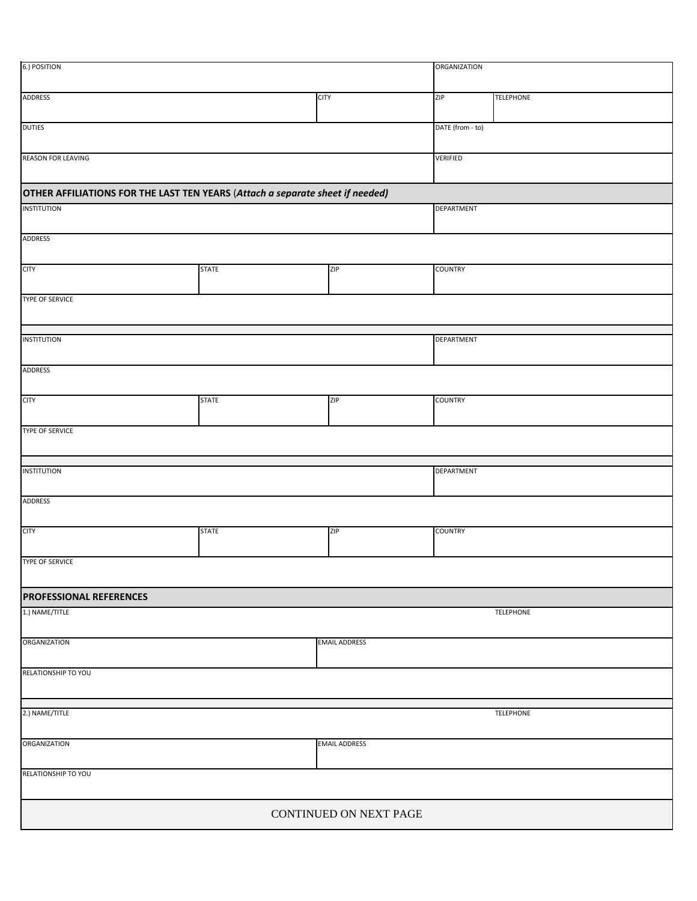| 6.) POSITION                                                                  |              | <b>ORGANIZATION</b>    |                   |                  |  |
|-------------------------------------------------------------------------------|--------------|------------------------|-------------------|------------------|--|
| <b>ADDRESS</b><br><b>CITY</b>                                                 |              |                        | ZIP               | <b>TELEPHONE</b> |  |
| <b>DUTIES</b>                                                                 |              |                        | DATE (from - to)  |                  |  |
| <b>REASON FOR LEAVING</b>                                                     |              |                        | <b>VERIFIED</b>   |                  |  |
| OTHER AFFILIATIONS FOR THE LAST TEN YEARS (Attach a separate sheet if needed) |              |                        |                   |                  |  |
| <b>INSTITUTION</b>                                                            |              |                        | <b>DEPARTMENT</b> |                  |  |
| <b>ADDRESS</b>                                                                |              |                        |                   |                  |  |
| <b>CITY</b>                                                                   | <b>STATE</b> | <b>ZIP</b>             | <b>COUNTRY</b>    |                  |  |
| <b>TYPE OF SERVICE</b>                                                        |              |                        |                   |                  |  |
|                                                                               |              |                        |                   |                  |  |
| <b>INSTITUTION</b>                                                            |              |                        | DEPARTMENT        |                  |  |
| <b>ADDRESS</b>                                                                |              |                        |                   |                  |  |
| <b>CITY</b>                                                                   | <b>STATE</b> | ZIP                    | <b>COUNTRY</b>    |                  |  |
| <b>TYPE OF SERVICE</b>                                                        |              |                        |                   |                  |  |
|                                                                               |              |                        |                   |                  |  |
| <b>INSTITUTION</b>                                                            |              |                        | <b>DEPARTMENT</b> |                  |  |
| <b>ADDRESS</b>                                                                |              |                        |                   |                  |  |
| <b>CITY</b>                                                                   | <b>STATE</b> | ZIP                    | <b>COUNTRY</b>    |                  |  |
| <b>TYPE OF SERVICE</b>                                                        |              |                        |                   |                  |  |
| <b>PROFESSIONAL REFERENCES</b>                                                |              |                        |                   |                  |  |
| 1.) NAME/TITLE<br>TELEPHONE                                                   |              |                        |                   |                  |  |
| <b>ORGANIZATION</b>                                                           |              | <b>EMAIL ADDRESS</b>   |                   |                  |  |
| RELATIONSHIP TO YOU                                                           |              |                        |                   |                  |  |
|                                                                               |              |                        |                   |                  |  |
| 2.) NAME/TITLE                                                                |              |                        |                   | TELEPHONE        |  |
| ORGANIZATION                                                                  |              | <b>EMAIL ADDRESS</b>   |                   |                  |  |
| RELATIONSHIP TO YOU                                                           |              |                        |                   |                  |  |
|                                                                               |              | CONTINUED ON NEXT PAGE |                   |                  |  |